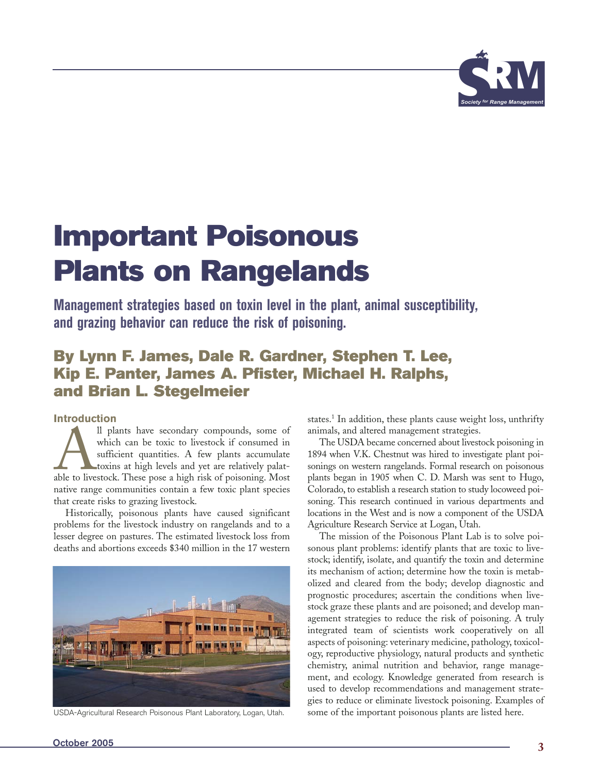

# **Important Poisonous Plants on Rangelands**

**Management strategies based on toxin level in the plant, animal susceptibility, and grazing behavior can reduce the risk of poisoning.**

# **By Lynn F. James, Dale R. Gardner, Stephen T. Lee, Kip E. Panter, James A. Pfister, Michael H. Ralphs, and Brian L. Stegelmeier**

# **Introduction**

Il plants have secondary compounds, some of which can be toxic to livestock if consumed in sufficient quantities. A few plants accumulate to livestock. These pose a high risk of poisoning. Most which can be toxic to livestock if consumed in sufficient quantities. A few plants accumulate toxins at high levels and yet are relatively palatnative range communities contain a few toxic plant species that create risks to grazing livestock.

Historically, poisonous plants have caused significant problems for the livestock industry on rangelands and to a lesser degree on pastures. The estimated livestock loss from deaths and abortions exceeds \$340 million in the 17 western



USDA-Agricultural Research Poisonous Plant Laboratory, Logan, Utah.

states.<sup>1</sup> In addition, these plants cause weight loss, unthrifty animals, and altered management strategies.

The USDA became concerned about livestock poisoning in 1894 when V.K. Chestnut was hired to investigate plant poisonings on western rangelands. Formal research on poisonous plants began in 1905 when C. D. Marsh was sent to Hugo, Colorado, to establish a research station to study locoweed poisoning. This research continued in various departments and locations in the West and is now a component of the USDA Agriculture Research Service at Logan, Utah.

The mission of the Poisonous Plant Lab is to solve poisonous plant problems: identify plants that are toxic to livestock; identify, isolate, and quantify the toxin and determine its mechanism of action; determine how the toxin is metabolized and cleared from the body; develop diagnostic and prognostic procedures; ascertain the conditions when livestock graze these plants and are poisoned; and develop management strategies to reduce the risk of poisoning. A truly integrated team of scientists work cooperatively on all aspects of poisoning: veterinary medicine, pathology, toxicology, reproductive physiology, natural products and synthetic chemistry, animal nutrition and behavior, range management, and ecology. Knowledge generated from research is used to develop recommendations and management strategies to reduce or eliminate livestock poisoning. Examples of some of the important poisonous plants are listed here.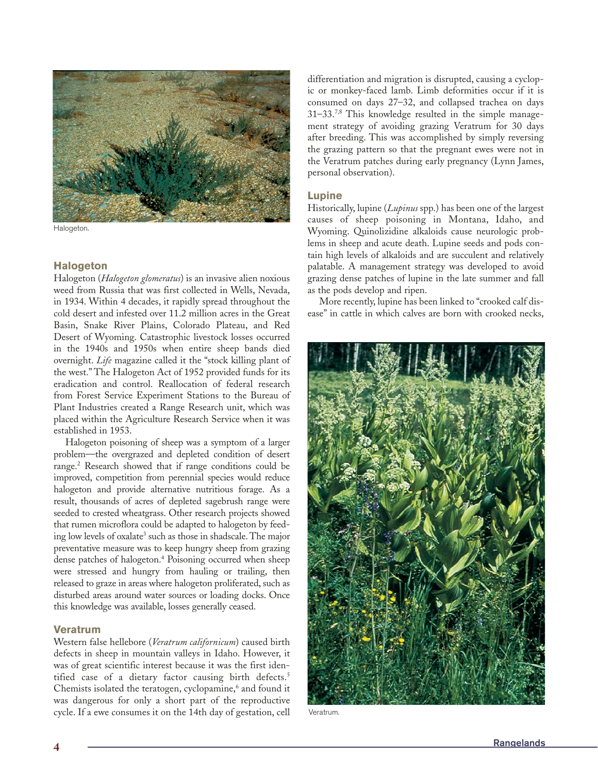

Halogeton.

# **Halogeton**

Halogeton (*Halogeton glomeratus*) is an invasive alien noxious weed from Russia that was first collected in Wells, Nevada, in 1934. Within 4 decades, it rapidly spread throughout the cold desert and infested over 11.2 million acres in the Great Basin, Snake River Plains, Colorado Plateau, and Red Desert of Wyoming. Catastrophic livestock losses occurred in the 1940s and 1950s when entire sheep bands died overnight. *Life* magazine called it the "stock killing plant of the west." The Halogeton Act of 1952 provided funds for its eradication and control. Reallocation of federal research from Forest Service Experiment Stations to the Bureau of Plant Industries created a Range Research unit, which was placed within the Agriculture Research Service when it was established in 1953.

Halogeton poisoning of sheep was a symptom of a larger problem—the overgrazed and depleted condition of desert range.<sup>2</sup> Research showed that if range conditions could be improved, competition from perennial species would reduce halogeton and provide alternative nutritious forage. As a result, thousands of acres of depleted sagebrush range were seeded to crested wheatgrass. Other research projects showed that rumen microflora could be adapted to halogeton by feeding low levels of oxalate<sup>3</sup> such as those in shadscale. The major preventative measure was to keep hungry sheep from grazing dense patches of halogeton.<sup>4</sup> Poisoning occurred when sheep were stressed and hungry from hauling or trailing, then released to graze in areas where halogeton proliferated, such as disturbed areas around water sources or loading docks. Once this knowledge was available, losses generally ceased.

# **Veratrum**

Western false hellebore (*Veratrum californicum*) caused birth defects in sheep in mountain valleys in Idaho. However, it was of great scientific interest because it was the first identified case of a dietary factor causing birth defects.<sup>5</sup> Chemists isolated the teratogen, cyclopamine,<sup>6</sup> and found it was dangerous for only a short part of the reproductive cycle. If a ewe consumes it on the 14th day of gestation, cell

differentiation and migration is disrupted, causing a cyclopic or monkey-faced lamb. Limb deformities occur if it is consumed on days 27–32, and collapsed trachea on days 31–33.7,8 This knowledge resulted in the simple management strategy of avoiding grazing Veratrum for 30 days after breeding. This was accomplished by simply reversing the grazing pattern so that the pregnant ewes were not in the Veratrum patches during early pregnancy (Lynn James, personal observation).

# **Lupine**

Historically, lupine (*Lupinus* spp.) has been one of the largest causes of sheep poisoning in Montana, Idaho, and Wyoming. Quinolizidine alkaloids cause neurologic problems in sheep and acute death. Lupine seeds and pods contain high levels of alkaloids and are succulent and relatively palatable. A management strategy was developed to avoid grazing dense patches of lupine in the late summer and fall as the pods develop and ripen.

More recently, lupine has been linked to "crooked calf disease" in cattle in which calves are born with crooked necks,



Veratrum.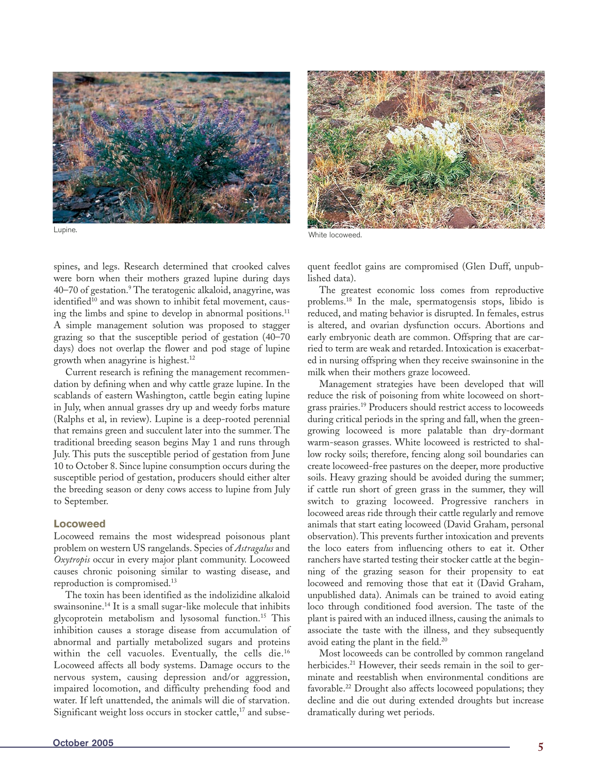



Lupine.<br>
White locoweed.

spines, and legs. Research determined that crooked calves were born when their mothers grazed lupine during days 40-70 of gestation.<sup>9</sup> The teratogenic alkaloid, anagyrine, was identified<sup>10</sup> and was shown to inhibit fetal movement, causing the limbs and spine to develop in abnormal positions.<sup>11</sup> A simple management solution was proposed to stagger grazing so that the susceptible period of gestation (40–70 days) does not overlap the flower and pod stage of lupine growth when anagyrine is highest.12

Current research is refining the management recommendation by defining when and why cattle graze lupine. In the scablands of eastern Washington, cattle begin eating lupine in July, when annual grasses dry up and weedy forbs mature (Ralphs et al, in review). Lupine is a deep-rooted perennial that remains green and succulent later into the summer. The traditional breeding season begins May 1 and runs through July. This puts the susceptible period of gestation from June 10 to October 8. Since lupine consumption occurs during the susceptible period of gestation, producers should either alter the breeding season or deny cows access to lupine from July to September.

# **Locoweed**

Locoweed remains the most widespread poisonous plant problem on western US rangelands. Species of *Astragalus* and *Oxytropis* occur in every major plant community. Locoweed causes chronic poisoning similar to wasting disease, and reproduction is compromised.13

The toxin has been identified as the indolizidine alkaloid swainsonine.<sup>14</sup> It is a small sugar-like molecule that inhibits glycoprotein metabolism and lysosomal function.15 This inhibition causes a storage disease from accumulation of abnormal and partially metabolized sugars and proteins within the cell vacuoles. Eventually, the cells die.16 Locoweed affects all body systems. Damage occurs to the nervous system, causing depression and/or aggression, impaired locomotion, and difficulty prehending food and water. If left unattended, the animals will die of starvation. Significant weight loss occurs in stocker cattle,<sup>17</sup> and subsequent feedlot gains are compromised (Glen Duff, unpublished data).

The greatest economic loss comes from reproductive problems.18 In the male, spermatogensis stops, libido is reduced, and mating behavior is disrupted. In females, estrus is altered, and ovarian dysfunction occurs. Abortions and early embryonic death are common. Offspring that are carried to term are weak and retarded. Intoxication is exacerbated in nursing offspring when they receive swainsonine in the milk when their mothers graze locoweed.

Management strategies have been developed that will reduce the risk of poisoning from white locoweed on shortgrass prairies.19 Producers should restrict access to locoweeds during critical periods in the spring and fall, when the greengrowing locoweed is more palatable than dry-dormant warm-season grasses. White locoweed is restricted to shallow rocky soils; therefore, fencing along soil boundaries can create locoweed-free pastures on the deeper, more productive soils. Heavy grazing should be avoided during the summer; if cattle run short of green grass in the summer, they will switch to grazing locoweed. Progressive ranchers in locoweed areas ride through their cattle regularly and remove animals that start eating locoweed (David Graham, personal observation). This prevents further intoxication and prevents the loco eaters from influencing others to eat it. Other ranchers have started testing their stocker cattle at the beginning of the grazing season for their propensity to eat locoweed and removing those that eat it (David Graham, unpublished data). Animals can be trained to avoid eating loco through conditioned food aversion. The taste of the plant is paired with an induced illness, causing the animals to associate the taste with the illness, and they subsequently avoid eating the plant in the field.20

Most locoweeds can be controlled by common rangeland herbicides.<sup>21</sup> However, their seeds remain in the soil to germinate and reestablish when environmental conditions are favorable.<sup>22</sup> Drought also affects locoweed populations; they decline and die out during extended droughts but increase dramatically during wet periods.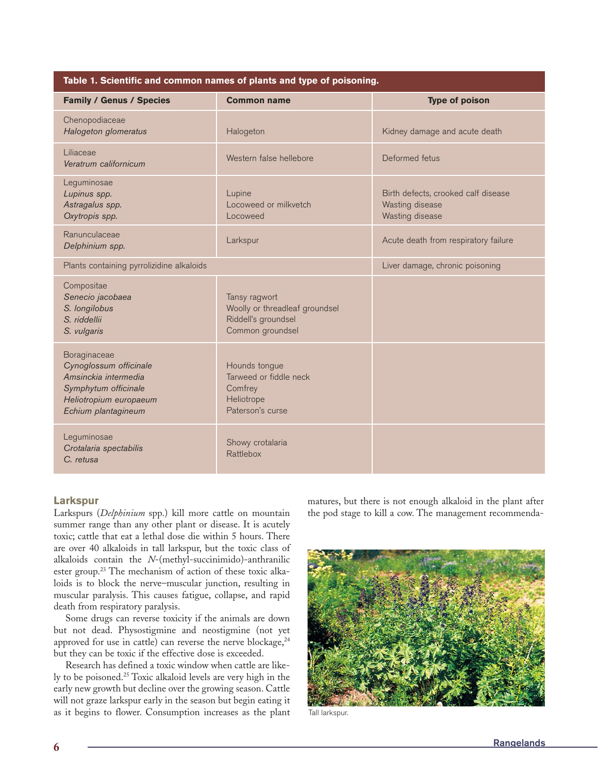| Table 1. Scientific and common names of plants and type of poisoning.                                                                   |                                                                                            |                                                                           |
|-----------------------------------------------------------------------------------------------------------------------------------------|--------------------------------------------------------------------------------------------|---------------------------------------------------------------------------|
| <b>Family / Genus / Species</b>                                                                                                         | <b>Common name</b>                                                                         | <b>Type of poison</b>                                                     |
| Chenopodiaceae<br>Halogeton glomeratus                                                                                                  | Halogeton                                                                                  | Kidney damage and acute death                                             |
| Liliaceae<br>Veratrum californicum                                                                                                      | Western false hellebore                                                                    | Deformed fetus                                                            |
| Leguminosae<br>Lupinus spp.<br>Astragalus spp.<br>Oxytropis spp.                                                                        | Lupine<br>Locoweed or milkvetch<br>Locoweed                                                | Birth defects, crooked calf disease<br>Wasting disease<br>Wasting disease |
| Ranunculaceae<br>Delphinium spp.                                                                                                        | Larkspur                                                                                   | Acute death from respiratory failure                                      |
| Plants containing pyrrolizidine alkaloids                                                                                               |                                                                                            | Liver damage, chronic poisoning                                           |
| Compositae<br>Senecio jacobaea<br>S. longilobus<br>S. riddellii<br>S. vulgaris                                                          | Tansy ragwort<br>Woolly or threadleaf groundsel<br>Riddell's groundsel<br>Common groundsel |                                                                           |
| Boraginaceae<br>Cynoglossum officinale<br>Amsinckia intermedia<br>Symphytum officinale<br>Heliotropium europaeum<br>Echium plantagineum | Hounds tongue<br>Tarweed or fiddle neck<br>Comfrey<br>Heliotrope<br>Paterson's curse       |                                                                           |
| Leguminosae<br>Crotalaria spectabilis<br>C. retusa                                                                                      | Showy crotalaria<br>Rattlebox                                                              |                                                                           |

# **Larkspur**

Larkspurs (*Delphinium* spp.) kill more cattle on mountain summer range than any other plant or disease. It is acutely toxic; cattle that eat a lethal dose die within 5 hours. There are over 40 alkaloids in tall larkspur, but the toxic class of alkaloids contain the *N*-(methyl-succinimido)-anthranilic ester group.<sup>23</sup> The mechanism of action of these toxic alkaloids is to block the nerve–muscular junction, resulting in muscular paralysis. This causes fatigue, collapse, and rapid death from respiratory paralysis.

Some drugs can reverse toxicity if the animals are down but not dead. Physostigmine and neostigmine (not yet approved for use in cattle) can reverse the nerve blockage, $24$ but they can be toxic if the effective dose is exceeded.

Research has defined a toxic window when cattle are likely to be poisoned.25 Toxic alkaloid levels are very high in the early new growth but decline over the growing season. Cattle will not graze larkspur early in the season but begin eating it as it begins to flower. Consumption increases as the plant matures, but there is not enough alkaloid in the plant after the pod stage to kill a cow. The management recommenda-



Tall larkspur.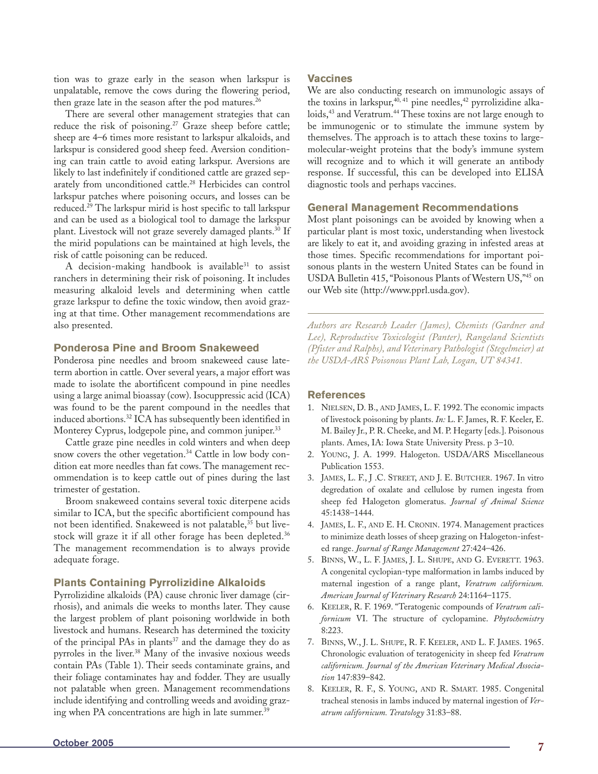tion was to graze early in the season when larkspur is unpalatable, remove the cows during the flowering period, then graze late in the season after the pod matures.<sup>2</sup>

There are several other management strategies that can reduce the risk of poisoning.<sup>27</sup> Graze sheep before cattle; sheep are 4–6 times more resistant to larkspur alkaloids, and larkspur is considered good sheep feed. Aversion conditioning can train cattle to avoid eating larkspur. Aversions are likely to last indefinitely if conditioned cattle are grazed separately from unconditioned cattle.<sup>28</sup> Herbicides can control larkspur patches where poisoning occurs, and losses can be reduced.29 The larkspur mirid is host specific to tall larkspur and can be used as a biological tool to damage the larkspur plant. Livestock will not graze severely damaged plants.30 If the mirid populations can be maintained at high levels, the risk of cattle poisoning can be reduced.

A decision-making handbook is available<sup>31</sup> to assist ranchers in determining their risk of poisoning. It includes measuring alkaloid levels and determining when cattle graze larkspur to define the toxic window, then avoid grazing at that time. Other management recommendations are also presented.

### **Ponderosa Pine and Broom Snakeweed**

Ponderosa pine needles and broom snakeweed cause lateterm abortion in cattle. Over several years, a major effort was made to isolate the abortificent compound in pine needles using a large animal bioassay (cow). Isocuppressic acid (ICA) was found to be the parent compound in the needles that induced abortions.32 ICA has subsequently been identified in Monterey Cyprus, lodgepole pine, and common juniper.<sup>33</sup>

Cattle graze pine needles in cold winters and when deep snow covers the other vegetation.<sup>34</sup> Cattle in low body condition eat more needles than fat cows. The management recommendation is to keep cattle out of pines during the last trimester of gestation.

Broom snakeweed contains several toxic diterpene acids similar to ICA, but the specific abortificient compound has not been identified. Snakeweed is not palatable,<sup>35</sup> but livestock will graze it if all other forage has been depleted.<sup>36</sup> The management recommendation is to always provide adequate forage.

#### **Plants Containing Pyrrolizidine Alkaloids**

Pyrrolizidine alkaloids (PA) cause chronic liver damage (cirrhosis), and animals die weeks to months later. They cause the largest problem of plant poisoning worldwide in both livestock and humans. Research has determined the toxicity of the principal PAs in plants<sup>37</sup> and the damage they do as pyrroles in the liver.38 Many of the invasive noxious weeds contain PAs (Table 1). Their seeds contaminate grains, and their foliage contaminates hay and fodder. They are usually not palatable when green. Management recommendations include identifying and controlling weeds and avoiding grazing when PA concentrations are high in late summer.<sup>39</sup>

## **Vaccines**

We are also conducting research on immunologic assays of the toxins in larkspur,  $40, 41$  pine needles,  $42$  pyrrolizidine alkaloids,<sup>43</sup> and Veratrum.<sup>44</sup> These toxins are not large enough to be immunogenic or to stimulate the immune system by themselves. The approach is to attach these toxins to largemolecular-weight proteins that the body's immune system will recognize and to which it will generate an antibody response. If successful, this can be developed into ELISA diagnostic tools and perhaps vaccines.

#### **General Management Recommendations**

Most plant poisonings can be avoided by knowing when a particular plant is most toxic, understanding when livestock are likely to eat it, and avoiding grazing in infested areas at those times. Specific recommendations for important poisonous plants in the western United States can be found in USDA Bulletin 415, "Poisonous Plants of Western US,"45 on our Web site (http://www.pprl.usda.gov).

*Authors are Research Leader (James), Chemists (Gardner and Lee), Reproductive Toxicologist (Panter), Rangeland Scientists (Pfister and Ralphs), and Veterinary Pathologist (Stegelmeier) at the USDA-ARS Poisonous Plant Lab, Logan, UT 84341.*

#### **References**

- 1. NIELSEN, D. B., AND JAMES, L. F. 1992. The economic impacts of livestock poisoning by plants. *In:* L. F. James, R. F. Keeler, E. M. Bailey Jr., P. R. Cheeke, and M. P. Hegarty [eds.]. Poisonous plants. Ames, IA: Iowa State University Press. p 3–10.
- 2. YOUNG, J. A. 1999. Halogeton. USDA/ARS Miscellaneous Publication 1553.
- 3. JAMES, L. F., J .C. STREET, AND J. E. BUTCHER. 1967. In vitro degredation of oxalate and cellulose by rumen ingesta from sheep fed Halogeton glomeratus. *Journal of Animal Science* 45:1438–1444.
- 4. JAMES, L. F., AND E. H. CRONIN. 1974. Management practices to minimize death losses of sheep grazing on Halogeton-infested range. *Journal of Range Management* 27:424–426.
- 5. BINNS, W., L. F. JAMES, J. L. SHUPE, AND G. EVERETT. 1963. A congenital cyclopian-type malformation in lambs induced by maternal ingestion of a range plant, *Veratrum californicum. American Journal of Veterinary Research* 24:1164–1175.
- 6. KEELER, R. F. 1969. "Teratogenic compounds of *Veratrum californicum* VI. The structure of cyclopamine. *Phytochemistry* 8:223.
- 7. BINNS, W., J. L. SHUPE, R. F. KEELER, AND L. F. JAMES. 1965. Chronologic evaluation of teratogenicity in sheep fed *Veratrum californicum. Journal of the American Veterinary Medical Association* 147:839–842.
- 8. KEELER, R. F., S. YOUNG, AND R. SMART. 1985. Congenital tracheal stenosis in lambs induced by maternal ingestion of *Veratrum californicum. Teratology* 31:83–88.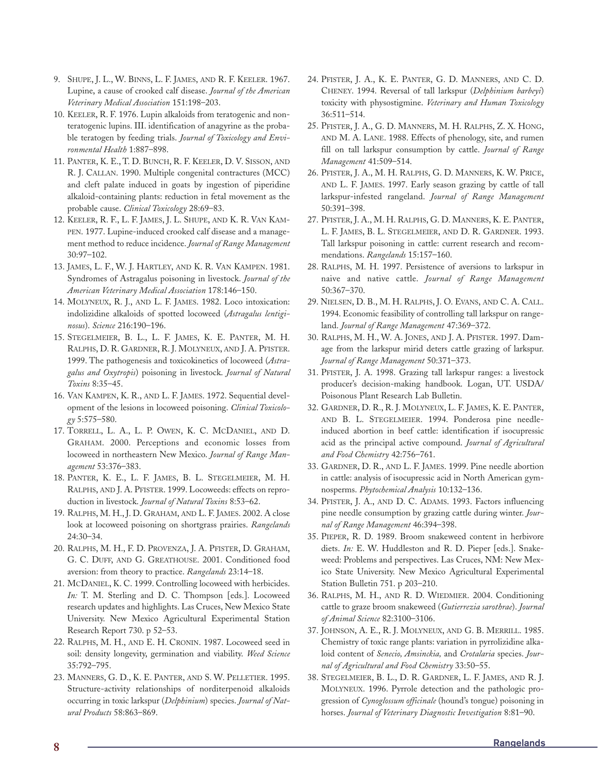- 9. SHUPE, J. L., W. BINNS, L. F. JAMES, AND R. F. KEELER. 1967. Lupine, a cause of crooked calf disease. *Journal of the American Veterinary Medical Association* 151:198–203.
- 10. KEELER, R. F. 1976. Lupin alkaloids from teratogenic and nonteratogenic lupins. III. identification of anagyrine as the probable teratogen by feeding trials. *Journal of Toxicology and Environmental Health* 1:887–898.
- 11. PANTER, K. E., T. D. BUNCH, R. F. KEELER, D. V. SISSON, AND R. J. CALLAN. 1990. Multiple congenital contractures (MCC) and cleft palate induced in goats by ingestion of piperidine alkaloid-containing plants: reduction in fetal movement as the probable cause. *Clinical Toxicology* 28:69–83.
- 12. KEELER, R. F., L. F. JAMES, J. L. SHUPE, AND K. R. VAN KAM-PEN. 1977. Lupine-induced crooked calf disease and a management method to reduce incidence. *Journal of Range Management* 30:97–102.
- 13. JAMES, L. F., W. J. HARTLEY, AND K. R. VAN KAMPEN. 1981. Syndromes of Astragalus poisoning in livestock. *Journal of the American Veterinary Medical Association* 178:146–150.
- 14. MOLYNEUX, R. J., AND L. F. JAMES. 1982. Loco intoxication: indolizidine alkaloids of spotted locoweed (*Astragalus lentiginosus*). *Science* 216:190–196.
- 15. STEGELMEIER, B. L., L. F. JAMES, K. E. PANTER, M. H. RALPHS, D. R. GARDNER, R. J. MOLYNEUX, AND J. A. PFISTER. 1999. The pathogenesis and toxicokinetics of locoweed (*Astragalus and Oxytropis*) poisoning in livestock. *Journal of Natural Toxins* 8:35–45.
- 16. VAN KAMPEN, K. R., AND L. F. JAMES. 1972. Sequential development of the lesions in locoweed poisoning. *Clinical Toxicology* 5:575–580.
- 17. TORRELL, L. A., L. P. OWEN, K. C. MCDANIEL, AND D. GRAHAM. 2000. Perceptions and economic losses from locoweed in northeastern New Mexico. *Journal of Range Management* 53:376–383.
- 18. PANTER, K. E., L. F. JAMES, B. L. STEGELMEIER, M. H. RALPHS, AND J. A. PFISTER. 1999. Locoweeds: effects on reproduction in livestock. *Journal of Natural Toxins* 8:53–62.
- 19. RALPHS, M. H., J. D. GRAHAM, AND L. F. JAMES. 2002. A close look at locoweed poisoning on shortgrass prairies. *Rangelands* 24:30–34.
- 20. RALPHS, M. H., F. D. PROVENZA, J. A. PFISTER, D. GRAHAM, G. C. DUFF, AND G. GREATHOUSE. 2001. Conditioned food aversion: from theory to practice. *Rangelands* 23:14–18.
- 21. MCDANIEL, K. C. 1999. Controlling locoweed with herbicides. *In:* T. M. Sterling and D. C. Thompson [eds.]. Locoweed research updates and highlights. Las Cruces, New Mexico State University. New Mexico Agricultural Experimental Station Research Report 730. p 52–53.
- 22. RALPHS, M. H., AND E. H. CRONIN. 1987. Locoweed seed in soil: density longevity, germination and viability. *Weed Science* 35:792–795.
- 23. MANNERS, G. D., K. E. PANTER, AND S. W. PELLETIER. 1995. Structure-activity relationships of norditerpenoid alkaloids occurring in toxic larkspur (*Delphinium*) species. *Journal of Natural Products* 58:863–869.
- 24. PFISTER, J. A., K. E. PANTER, G. D. MANNERS, AND C. D. CHENEY. 1994. Reversal of tall larkspur (*Delphinium barbeyi*) toxicity with physostigmine. *Veterinary and Human Toxicology* 36:511–514.
- 25. PFISTER, J. A., G. D. MANNERS, M. H. RALPHS, Z. X. HONG, AND M. A. LANE. 1988. Effects of phenology, site, and rumen fill on tall larkspur consumption by cattle. *Journal of Range Management* 41:509–514.
- 26. PFISTER, J. A., M. H. RALPHS, G. D. MANNERS, K. W. PRICE, AND L. F. JAMES. 1997. Early season grazing by cattle of tall larkspur-infested rangeland. *Journal of Range Management* 50:391–398.
- 27. PFISTER, J. A., M. H. RALPHS, G. D. MANNERS, K. E. PANTER, L. F. JAMES, B. L. STEGELMEIER, AND D. R. GARDNER. 1993. Tall larkspur poisoning in cattle: current research and recommendations. *Rangelands* 15:157–160.
- 28. RALPHS, M. H. 1997. Persistence of aversions to larkspur in naive and native cattle. *Journal of Range Management* 50:367–370.
- 29. NIELSEN, D. B., M. H. RALPHS, J. O. EVANS, AND C. A. CALL. 1994. Economic feasibility of controlling tall larkspur on rangeland. *Journal of Range Management* 47:369–372.
- 30. RALPHS, M. H., W. A. JONES, AND J. A. PFISTER. 1997. Damage from the larkspur mirid deters cattle grazing of larkspur. *Journal of Range Management* 50:371–373.
- 31. PFISTER, J. A. 1998. Grazing tall larkspur ranges: a livestock producer's decision-making handbook. Logan, UT. USDA/ Poisonous Plant Research Lab Bulletin.
- 32. GARDNER, D. R., R. J. MOLYNEUX, L. F. JAMES, K. E. PANTER, AND B. L. STEGELMEIER. 1994. Ponderosa pine needleinduced abortion in beef cattle: identification if isocupressic acid as the principal active compound. *Journal of Agricultural and Food Chemistry* 42:756–761.
- 33. GARDNER, D. R., AND L. F. JAMES. 1999. Pine needle abortion in cattle: analysis of isocupressic acid in North American gymnosperms. *Phytochemical Analysis* 10:132–136.
- 34. PFISTER, J. A., AND D. C. ADAMS. 1993. Factors influencing pine needle consumption by grazing cattle during winter. *Journal of Range Management* 46:394–398.
- 35. PIEPER, R. D. 1989. Broom snakeweed content in herbivore diets. *In:* E. W. Huddleston and R. D. Pieper [eds.]. Snakeweed: Problems and perspectives. Las Cruces, NM: New Mexico State University. New Mexico Agricultural Experimental Station Bulletin 751. p 203–210.
- 36. RALPHS, M. H., AND R. D. WIEDMIER. 2004. Conditioning cattle to graze broom snakeweed (*Gutierrezia sarothrae*). *Journal of Animal Science* 82:3100–3106.
- 37. JOHNSON, A. E., R. J. MOLYNEUX, AND G. B. MERRILL. 1985. Chemistry of toxic range plants: variation in pyrrolizidine alkaloid content of *Senecio, Amsinckia,* and *Crotalaria* species. *Journal of Agricultural and Food Chemistry* 33:50–55.
- 38. STEGELMEIER, B. L., D. R. GARDNER, L. F. JAMES, AND R. J. MOLYNEUX. 1996. Pyrrole detection and the pathologic progression of *Cynoglossum officinale* (hound's tongue) poisoning in horses. *Journal of Veterinary Diagnostic Investigation* 8:81–90.